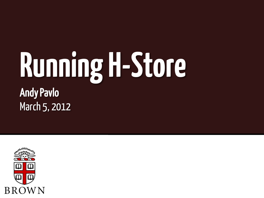#### Andy Pavlo March 5, 2012 **Running H-Store**

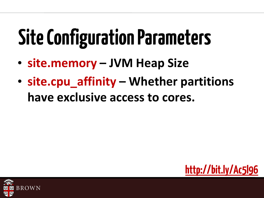#### **Site Configuration Parameters**

- **site.memory – JVM Heap Size**
- **site.cpu\_affinity – Whether partitions have exclusive access to cores.**



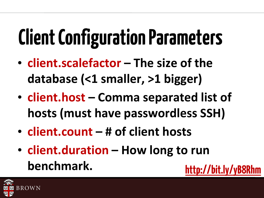# **Client Configuration Parameters**

- **client.scalefactor – The size of the database (<1 smaller, >1 bigger)**
- **client.host – Comma separated list of hosts (must have passwordless SSH)**
- **client.count – # of client hosts**
- **client.duration – How long to run benchmark.** http://bit.ly/yB8Rl

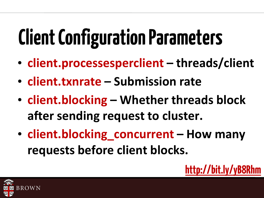## **Client Configuration Parameters**

- **client.processesperclient – threads/client**
- **client.txnrate – Submission rate**
- **client.blocking – Whether threads block after sending request to cluster.**
- **client.blocking\_concurrent – How many requests before client blocks.**



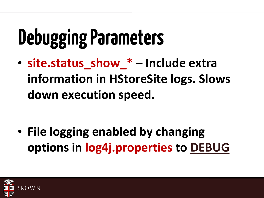## **Debugging Parameters**

• **site.status\_show\_\* – Include extra information in HStoreSite logs. Slows down execution speed.**

• **File logging enabled by changing options in log4j.properties to DEBUG**

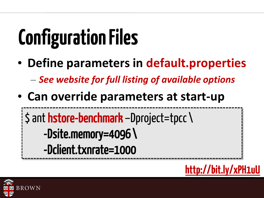# **Configuration Files**

- **Define parameters in default.properties** – *See website for full listing of available options*
- **Can override parameters at start-up** 
	- \$ ant hstore-benchmark –Dproject=tpcc\
		- -Dsite.memory=4096 \
		- -Dclient.txnrate=1000



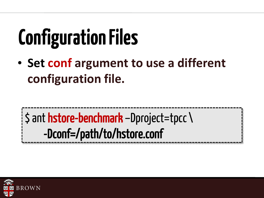# **Configuration Files**

• Set conf argument to use a different configuration file.

 $\sinh$  hstore-benchmark -Dproject=tpcc \ -Dconf=/path/to/hstore.conf

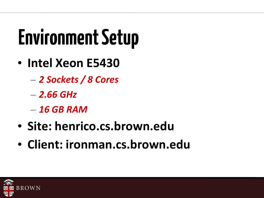## **Environment Setup**

- **Intel Xeon E5430**
	- *2 Sockets / 8 Cores*
	- *2.66 GHz*
	- *16 GB RAM*
- **Site: henrico.cs.brown.edu**
- **Client: ironman.cs.brown.edu**

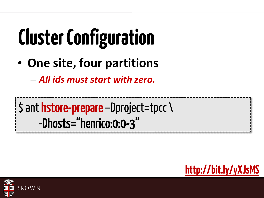# **Cluster Configuration**

• One site, four partitions

- All ids must start with zero.

\$ ant hstore-prepare -Dproject=tpcc \ -Dhosts="henrico:0:0-3"



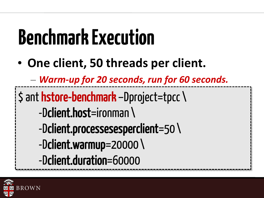#### **Benchmark Execution**

• **One client, 50 threads per client.**

– *Warm-up for 20 seconds, run for 60 seconds.*

\$ ant hstore-benchmark –Dproject=tpcc\

- -Dclient.host=ironman \
- -Dclient.processesesperclient=50 \
- -Dclient.warmup=20000 \
- -Dclient.duration=60000